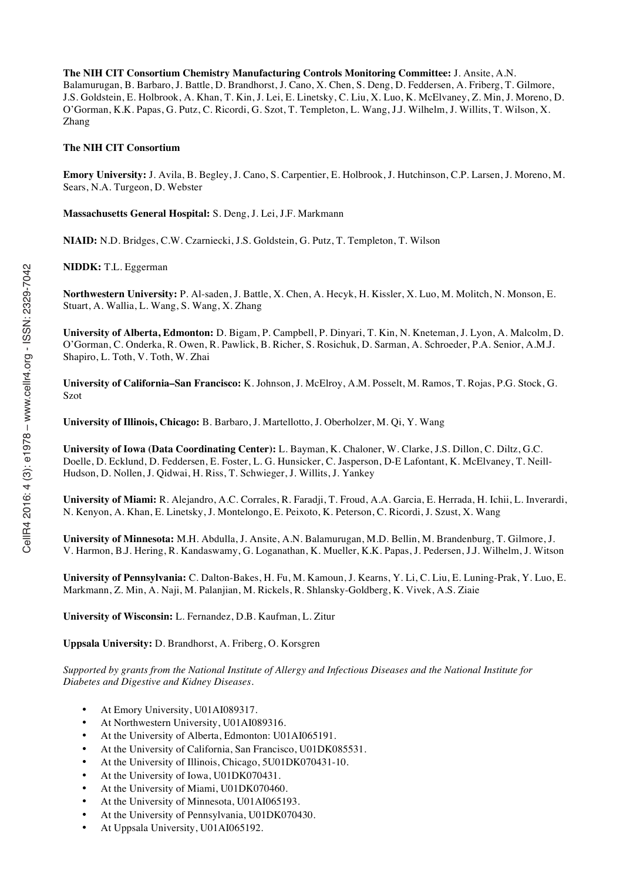**The NIH CIT Consortium Chemistry Manufacturing Controls Monitoring Committee:** J. Ansite, A.N. Balamurugan, B. Barbaro, J. Battle, D. Brandhorst, J. Cano, X. Chen, S. Deng, D. Feddersen, A. Friberg, T. Gilmore, J.S. Goldstein, E. Holbrook, A. Khan, T. Kin, J. Lei, E. Linetsky, C. Liu, X. Luo, K. McElvaney, Z. Min, J. Moreno, D. O'Gorman, K.K. Papas, G. Putz, C. Ricordi, G. Szot, T. Templeton, L. Wang, J.J. Wilhelm, J. Willits, T. Wilson, X. Zhang

### **The NIH CIT Consortium**

**Emory University:** J. Avila, B. Begley, J. Cano, S. Carpentier, E. Holbrook, J. Hutchinson, C.P. Larsen, J. Moreno, M. Sears, N.A. Turgeon, D. Webster

**Massachusetts General Hospital:** S. Deng, J. Lei, J.F. Markmann

**NIAID:** N.D. Bridges, C.W. Czarniecki, J.S. Goldstein, G. Putz, T. Templeton, T. Wilson

**NIDDK:** T.L. Eggerman

**Northwestern University:** P. Al-saden, J. Battle, X. Chen, A. Hecyk, H. Kissler, X. Luo, M. Molitch, N. Monson, E. Stuart, A. Wallia, L. Wang, S. Wang, X. Zhang

**University of Alberta, Edmonton:** D. Bigam, P. Campbell, P. Dinyari, T. Kin, N. Kneteman, J. Lyon, A. Malcolm, D. O'Gorman, C. Onderka, R. Owen, R. Pawlick, B. Richer, S. Rosichuk, D. Sarman, A. Schroeder, P.A. Senior, A.M.J. Shapiro, L. Toth, V. Toth, W. Zhai

**University of California–San Francisco:** K. Johnson, J. McElroy, A.M. Posselt, M. Ramos, T. Rojas, P.G. Stock, G. Szot

**University of Illinois, Chicago:** B. Barbaro, J. Martellotto, J. Oberholzer, M. Qi, Y. Wang

**University of Iowa (Data Coordinating Center):** L. Bayman, K. Chaloner, W. Clarke, J.S. Dillon, C. Diltz, G.C. Doelle, D. Ecklund, D. Feddersen, E. Foster, L. G. Hunsicker, C. Jasperson, D-E Lafontant, K. McElvaney, T. Neill-Hudson, D. Nollen, J. Qidwai, H. Riss, T. Schwieger, J. Willits, J. Yankey

**University of Miami:** R. Alejandro, A.C. Corrales, R. Faradji, T. Froud, A.A. Garcia, E. Herrada, H. Ichii, L. Inverardi, N. Kenyon, A. Khan, E. Linetsky, J. Montelongo, E. Peixoto, K. Peterson, C. Ricordi, J. Szust, X. Wang

**University of Minnesota:** M.H. Abdulla, J. Ansite, A.N. Balamurugan, M.D. Bellin, M. Brandenburg, T. Gilmore, J. V. Harmon, B.J. Hering, R. Kandaswamy, G. Loganathan, K. Mueller, K.K. Papas, J. Pedersen, J.J. Wilhelm, J. Witson

**University of Pennsylvania:** C. Dalton-Bakes, H. Fu, M. Kamoun, J. Kearns, Y. Li, C. Liu, E. Luning-Prak, Y. Luo, E. Markmann, Z. Min, A. Naji, M. Palanjian, M. Rickels, R. Shlansky-Goldberg, K. Vivek, A.S. Ziaie

**University of Wisconsin:** L. Fernandez, D.B. Kaufman, L. Zitur

**Uppsala University:** D. Brandhorst, A. Friberg, O. Korsgren

*Supported by grants from the National Institute of Allergy and Infectious Diseases and the National Institute for Diabetes and Digestive and Kidney Diseases.*

- At Emory University, U01AI089317.
- At Northwestern University, U01AI089316.
- At the University of Alberta, Edmonton: U01AI065191.
- At the University of California, San Francisco, U01DK085531.
- At the University of Illinois, Chicago, 5U01DK070431-10.
- At the University of Iowa, U01DK070431.
- At the University of Miami, U01DK070460.
- At the University of Minnesota, U01AI065193.
- At the University of Pennsylvania, U01DK070430.
- At Uppsala University, U01AI065192.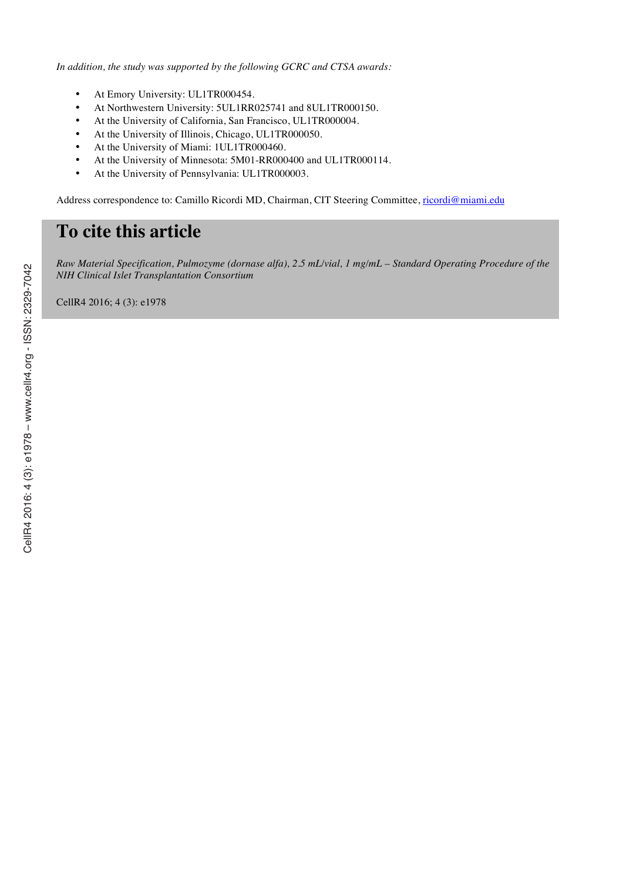*In addition, the study was supported by the following GCRC and CTSA awards:*

- At Emory University: UL1TR000454.
- At Northwestern University: 5UL1RR025741 and 8UL1TR000150.
- At the University of California, San Francisco, UL1TR000004.
- At the University of Illinois, Chicago, UL1TR000050.
- At the University of Miami: 1UL1TR000460.
- At the University of Minnesota: 5M01-RR000400 and UL1TR000114.
- At the University of Pennsylvania: UL1TR000003.

Address correspondence to: Camillo Ricordi MD, Chairman, CIT Steering Committee, ricordi@miami.edu

## **To cite this article**

*Raw Material Specification, Pulmozyme (dornase alfa), 2.5 mL/vial, 1 mg/mL – Standard Operating Procedure of the NIH Clinical Islet Transplantation Consortium*

CellR4 2016; 4 (3): e1978